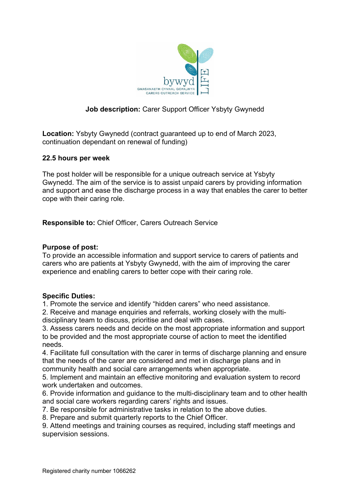

# **Job description:** Carer Support Officer Ysbyty Gwynedd

**Location:** Ysbyty Gwynedd (contract guaranteed up to end of March 2023, continuation dependant on renewal of funding)

#### **22.5 hours per week**

The post holder will be responsible for a unique outreach service at Ysbyty Gwynedd. The aim of the service is to assist unpaid carers by providing information and support and ease the discharge process in a way that enables the carer to better cope with their caring role.

**Responsible to:** Chief Officer, Carers Outreach Service

### **Purpose of post:**

To provide an accessible information and support service to carers of patients and carers who are patients at Ysbyty Gwynedd, with the aim of improving the carer experience and enabling carers to better cope with their caring role.

## **Specific Duties:**

1. Promote the service and identify "hidden carers" who need assistance.

2. Receive and manage enquiries and referrals, working closely with the multidisciplinary team to discuss, prioritise and deal with cases.

3. Assess carers needs and decide on the most appropriate information and support to be provided and the most appropriate course of action to meet the identified needs.

4. Facilitate full consultation with the carer in terms of discharge planning and ensure that the needs of the carer are considered and met in discharge plans and in community health and social care arrangements when appropriate.

5. Implement and maintain an effective monitoring and evaluation system to record work undertaken and outcomes.

6. Provide information and guidance to the multi-disciplinary team and to other health and social care workers regarding carers' rights and issues.

7. Be responsible for administrative tasks in relation to the above duties.

8. Prepare and submit quarterly reports to the Chief Officer.

9. Attend meetings and training courses as required, including staff meetings and supervision sessions.